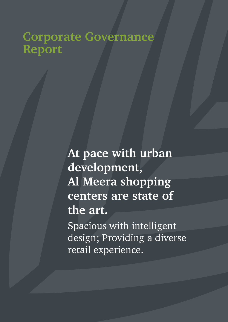# **Corporate Governance Report**

**At pace with urban development, Al Meera shopping centers are state of the art.**

Spacious with intelligent design; Providing a diverse retail experience.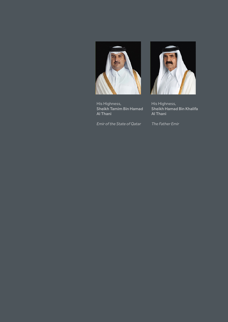

His Highness, Sheikh Tamim Bin Hamad Al Thani

*Emir of the State of Qatar*



His Highness, Sheikh Hamad Bin Khalifa Al Thani

*The Father Emir*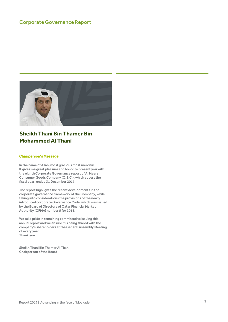#### Corporate Governance Report



## **Sheikh Thani Bin Thamer Bin Mohammed Al Thani**

#### Chairperson's Message

In the name of Allah, most gracious most merciful, It gives me great pleasure and honor to present you with the eighth Corporate Governance report of Al Meera Consumer Goods Company (Q.S.C.), which covers the fiscal year, ended 31 December 2017.

The report highlights the recent developments in the corporate governance framework of the Company, while taking into considerations the provisions of the newly introduced corporate Governance Code, which was issued by the Board of Directors of Qatar Financial Market Authority (QFMA) number 5 for 2016.

We take pride in remaining committed to issuing this annual report and we ensure it is being shared with the company's shareholders at the General Assembly Meeting of every year. Thank you.

Sheikh Thani Bin Thamer Al Thani Chairperson of the Board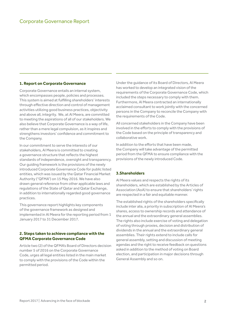#### **1. Report on Corporate Governance**

Corporate Governance entails an internal system, which encompasses people, policies and processes. This system is aimed at fulfilling shareholders' interests through effective direction and control of management activities utilizing good business practices, objectivity and above all, integrity. We, at Al Meera, are committed to meeting the aspirations of all of our stakeholders. We also believe that Corporate Governance is a way of life, rather than a mere legal compulsion, as it inspires and strengthens investors' confidence and commitment to the Company.

In our commitment to serve the interests of our stakeholders, Al Meera is committed to creating a governance structure that reflects the highest standards of independence, oversight and transparency. Our guiding framework is the provisions of the newly introduced Corporate Governance Code for public listed entities, which was issued by the Qatar Financial Market Authority ("QFMA") on 15 May 2016. We have also drawn general reference from other applicable laws and regulations of the State of Qatar and Qatar Exchange, in addition to internationally regarded good governance practices.

This governance report highlights key components of the governance framework as designed and implemented in Al Meera for the reporting period from 1 January 2017 to 31 December 2017.

#### **2. Steps taken to achieve compliance with the QFMA Corporate Governance Code**

Article two (2) of the QFMA's Board of Directors decision number 5 of 2016 on the Corporate Governance Code, urges all legal entities listed in the main market to comply with the provisions of the Code within the permitted period.

Under the guidance of its Board of Directors, Al Meera has worked to develop an integrated vision of the requirements of the Corporate Governance Code, which included the steps necessary to comply with them. Furthermore, Al Meera contracted an internationally acclaimed consultant to work jointly with the concerned persons in the Company to reconcile the Company with the requirements of the Code.

All concerned stakeholders in the Company have been involved in the efforts to comply with the provisions of the Code based on the principle of transparency and collaborative work.

In addition to the efforts that have been made, the Company will take advantage of the permitted period from the QFMA to ensure compliance with the provisions of the newly introduced Code.

#### **3.Shareholders**

Al Meera values and respects the rights of its shareholders, which are established by the Articles of Association (AoA) to ensure that shareholders' rights are respected in a fair and equitable manner.

The established rights of the shareholders specifically include inter alia, a priority in subscription of Al Meera's shares, access to ownership records and attendance of the annual and the extraordinary general assemblies. The rights also include exercise of voting and delegation of voting through proxies, decision and distribution of dividends in the annual and the extraordinary general assemblies. Their rights extend to include calls for general assembly, setting and discussion of meeting agendas and the right to receive feedback on questions asked in addition to the method of voting on Board election, and participation in major decisions through General Assembly and so on.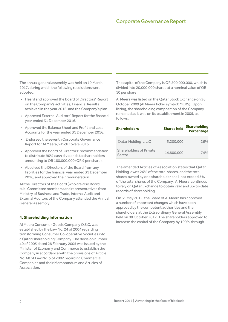The annual general assembly was held on 19 March 2017, during which the following resolutions were adopted:

- Heard and approved the Board of Directors' Report on the Company's activities, Financial Results achieved in the year 2016, and the Company's plan.
- Approved External Auditors' Report for the financial year ended 31 December 2016.
- Approved the Balance Sheet and Profit and Loss Accounts for the year ended 31 December 2016.
- Endorsed the seventh Corporate Governance Report for Al Meera, which covers 2016.
- Approved the Board of Directors' recommendation to distribute 90% cash dividends to shareholders amounting to QR 180,000,000 (QR 9 per share).
- Absolved the Directors of the Board from any liabilities for the financial year ended 31 December 2016, and approved their remuneration.

All the Directors of the Board (who are also Board sub-Committee members) and representatives from Ministry of Business and Trade, Internal Audit and External Auditors of the Company attended the Annual General Assembly.

#### **4. Shareholding Information**

Al Meera Consumer Goods Company Q.S.C. was established by the Law No. 24 of 2004 regarding transforming Consumer Co-operative Societies into a Qatari shareholding Company. The decision number 40 of 2005 dated 28 February 2005 was issued by the Minister of Economy and Commerce to establish the Company in accordance with the provisions of Article No. 68 of Law No. 5 of 2002 regarding Commercial Companies and their Memorandum and Articles of Association.

The capital of the Company is QR 200,000,000, which is divided into 20,000,000 shares at a nominal value of QR 10 per share.

Al Meera was listed on the Qatar Stock Exchange on 28 October 2009 (Al Meera ticker symbol: MERS). Upon listing, the shareholding composition of the Company remained as it was on its establishment in 2005, as follows:

| <b>Shareholders</b>                      | <b>Shares held</b> | <b>Shareholding</b><br><b>Percentage</b> |
|------------------------------------------|--------------------|------------------------------------------|
| <b>Qatar Holding L.L.C</b>               | 5.200.000          | 26%                                      |
| <b>Shareholders of Private</b><br>Sector | 14.800.000         | 74%                                      |

The amended Articles of Association states that Qatar Holding owns 26% of the total shares, and the total shares owned by one shareholder shall not exceed 5% of the total shares of the Company. Al Meera continues to rely on Qatar Exchange to obtain valid and up-to-date records of shareholding.

On 31 May 2012, the Board of Al Meera has approved a number of important changes which have been approved by the competent authorities and the shareholders at the Extraordinary General Assembly held on 08 October 2012. The shareholders approved to increase the capital of the Company by 100% through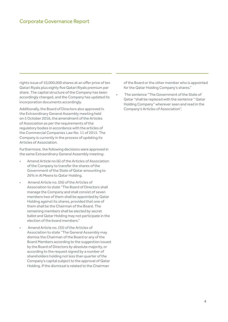rights issue of 10,000,000 shares at an offer price of ten Qatari Riyals plus eighty five Qatari Riyals premium per share. The capital structure of the Company has been accordingly changed, and the Company has updated its incorporation documents accordingly.

Additionally, the Board of Directors also approved in the Extraordinary General Assembly meeting held on 5 October 2016, the amendment of the Articles of Association as per the requirements of the regulatory bodies in accordance with the articles of the Commercial Companies Law No. 11 of 2015. The Company is currently in the process of updating its Articles of Association.

Furthermore, the following decisions were approved in the same Extraordinary General Assembly meeting:

- Amend Article no (6) of the Articles of Association of the Company to transfer the shares of the Government of the State of Qatar amounting to 26% in Al Meera to Qatar Holding.
- Amend Article no. (26) of the Articles of Association to state "The Board of Directors shall manage the Company and shall consist of seven members two of them shall be appointed by Qatar Holding against its shares, provided that one of them shall be the Chairman of the Board. The remaining members shall be elected by secret ballot and Qatar Holding may not participate in the election of the board members."
- Amend Article no. (35) of the Articles of Association to state "The General Assembly may dismiss the Chairman of the Board or any of the Board Members according to the suggestion issued by the Board of Directors by absolute majority, or according to the request signed by a number of shareholders holding not less than quarter of the Company's capital subject to the approval of Qatar Holding. If the dismissal is related to the Chairman

of the Board or the other member who is appointed for the Qatar Holding Company's shares."

The sentence "The Government of the State of Qatar "shall be replaced with the sentence " Qatar Holding Company" wherever seen and read in the Company's Articles of Association".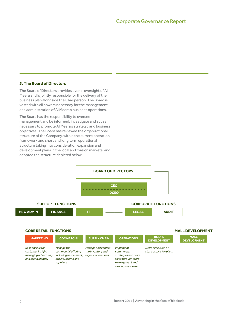#### **5. The Board of Directors**

The Board of Directors provides overall oversight of Al Meera and is jointly responsible for the delivery of the business plan alongside the Chairperson. The Board is vested with all powers necessary for the management and administration of Al Meera's business operations.

The Board has the responsibility to oversee management and be informed, investigate and act as necessary to promote Al Meera's strategic and business objectives. The Board has reviewed the organizational structure of the Company, within the current operation framework and short and long term operational structure taking into consideration expansion and development plans in the local and foreign markets, and adopted the structure depicted below.

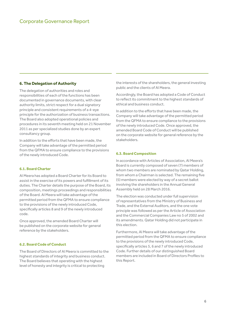#### **6. The Delegation of Authority**

The delegation of authorities and roles and responsibilities of each of the functions has been documented in governance documents, with clear authority limits, strict respect for a dual signatory principle and consistent requirements of a 4-eye principle for the authorization of business transactions. The Board also adopted operational policies and procedures in its seventh meeting held on 21 November 2011 as per specialized studies done by an expert consultancy group.

In addition to the efforts that have been made, the Company will take advantage of the permitted period from the QFMA to ensure compliance to the provisions of the newly introduced Code.

#### **6.1. Board Charter**

Al Meera has adopted a Board Charter for its Board to assist in the exercise of its powers and fulfillment of its duties. The Charter details the purpose of the Board, its composition, meetings proceedings and responsibilities of the Board. Al Meera will take advantage of the permitted period from the QFMA to ensure compliance to the provisions of the newly introduced Code, specifically articles 8 and 9 of the newly introduced code.

Once approved, the amended Board Charter will be published on the corporate website for general reference by the stakeholders.

#### **6.2. Board Code of Conduct**

The Board of Directors of Al Meera is committed to the highest standards of integrity and business conduct. The Board believes that operating with the highest level of honesty and integrity is critical to protecting

the interests of the shareholders, the general investing public and the clients of Al Meera.

Accordingly, the Board has adopted a Code of Conduct to reflect its commitment to the highest standards of ethical and business conduct.

In addition to the efforts that have been made, the Company will take advantage of the permitted period from the QFMA to ensure compliance to the provisions of the newly introduced Code. Once approved, the amended Board Code of Conduct will be published on the corporate website for general reference by the stakeholders.

#### **6.3. Board Composition**

In accordance with Articles of Association, Al Meera's Board is currently composed of seven (7) members of whom two members are nominated by Qatar Holding, from whom a Chairman is selected. The remaining five (5) members were elected by way of a secret ballot involving the shareholders in the Annual General Assembly held on 28 March 2016.

The election was conducted under full supervision of representatives from the Ministry of Business and Trade, and the External Auditors, and the one vote principle was followed as per the Article of Association and the Commercial Companies Law no 5 of 2002 and its amendments. Qatar Holding did not participate in this election.

Furthermore, Al Meera will take advantage of the permitted period from the QFMA to ensure compliance to the provisions of the newly introduced Code, specifically articles 5, 6 and 7 of the newly introduced Code. Further details of our distinguished Board members are included in Board of Directors Profiles to this Report.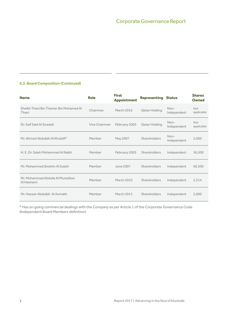#### **6.3. Board Composition (Continued)**

| <b>Name</b>                                     | Role          | <b>First</b><br><b>Appointment</b> | <b>Representing Status</b> |                       | <b>Shares</b><br>Owned   |
|-------------------------------------------------|---------------|------------------------------------|----------------------------|-----------------------|--------------------------|
| Sheikh Thani Bin Thamer Bin Mohamed Al<br>Thani | Chairman      | March 2016                         | <b>Qatar Holding</b>       | $Non-$<br>Independent | <b>Not</b><br>applicable |
| Dr. Saif Said Al Sowaidi                        | Vice Chairman | February 2005                      | <b>Qatar Holding</b>       | Non-<br>Independent   | <b>Not</b><br>applicable |
| Mr. Ahmed Abdullah Al Khulaifi*                 | Member        | May 2007                           | Shareholders               | Non-<br>Independent   | 2,000                    |
| H. E. Dr. Saleh Mohammed Al Nabit               | Member        | February 2005                      | <b>Shareholders</b>        | Independent           | 36,500                   |
| Mr. Mohammed Ibrahim Al Sulaiti                 | Member        | June 2007                          | <b>Shareholders</b>        | Independent           | 69,500                   |
| Mr. Mohammad Abdulla Al Mustafawi<br>Al Hashemi | Member        | March 2010                         | Shareholders               | Independent           | 2,514                    |
| Mr. Hassan Abdullah, Al Asmakh                  | Member        | March 2013                         | Shareholders               | Independent           | 2,000                    |

\* Has on going commercial dealings with the Company as per Article 1 of the Corporate Governance Code (Independent Board Members definition)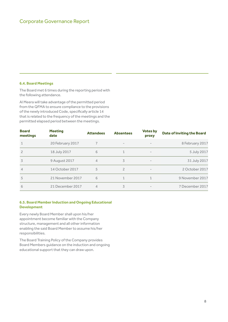#### **6.4. Board Meetings**

The Board met 6 times during the reporting period with the following attendance.

Al Meera will take advantage of the permitted period from the QFMA to ensure compliance to the provisions of the newly introduced Code, specifically article 14 that is related to the frequency of the meetings and the permitted elapsed period between the meetings.

| <b>Board</b><br>meetings | <b>Meeting</b><br>date | <b>Attendees</b> | <b>Absentees</b>         | <b>Votes by</b><br>proxy | <b>Date of Inviting the Board</b> |
|--------------------------|------------------------|------------------|--------------------------|--------------------------|-----------------------------------|
| $\mathbf{1}$             | 20 February 2017       |                  | $\overline{\phantom{0}}$ |                          | 8 February 2017                   |
| $\overline{2}$           | 18 July 2017           | 6                |                          |                          | 5 July 2017                       |
| 3                        | 9 August 2017          | 4                | 3                        |                          | 31 July 2017                      |
| $\overline{4}$           | 14 October 2017        | 5                | $\mathcal{P}$            | $\overline{\phantom{0}}$ | 2 October 2017                    |
| 5                        | 21 November 2017       | 6                |                          |                          | 9 November 2017                   |
| 6                        | 21 December 2017       | 4                | 3                        |                          | 7 December 2017                   |

#### **6.5. Board Member Induction and Ongoing Educational Development**

Every newly Board Member shall upon his/her appointment become familiar with the Company structure, management and all other information enabling the said Board Member to assume his/her responsibilities.

The Board Training Policy of the Company provides Board Members guidance on the induction and ongoing educational support that they can draw upon.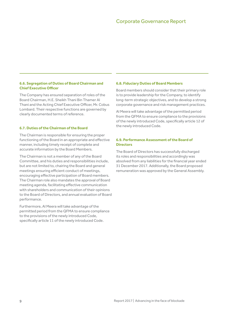#### **6.6. Segregation of Duties of Board Chairman and Chief Executive Officer**

The Company has ensured separation of roles of the Board Chairman, H.E. Sheikh Thani Bin Thamer Al Thani and the Acting Chief Executive Officer, Mr. Cobus Lombard. Their respective functions are governed by clearly documented terms of reference.

#### **6.7. Duties of the Chairman of the Board**

The Chairman is responsible for ensuring the proper functioning of the Board in an appropriate and effective manner, including timely receipt of complete and accurate information by the Board Members.

The Chairman is not a member of any of the Board Committee, and his duties and responsibilities include, but are not limited to, chairing the Board and general meetings ensuring efficient conduct of meetings, encouraging effective participation of Board members. The Chairman role also mandates the approval of Board meeting agenda, facilitating effective communication with shareholders and communication of their opinions to the Board of Directors, and annual evaluation of Board performance.

Furthermore, Al Meera will take advantage of the permitted period from the QFMA to ensure compliance to the provisions of the newly introduced Code, specifically article 11 of the newly introduced Code.

#### **6.8. Fiduciary Duties of Board Members**

Board members should consider that their primary role is to provide leadership for the Company, to identify long-term strategic objectives, and to develop a strong corporate governance and risk management practices.

Al Meera will take advantage of the permitted period from the QFMA to ensure compliance to the provisions of the newly introduced Code, specifically article 12 of the newly introduced Code.

#### **6.9. Performance Assessment of the Board of Directors**

The Board of Directors has successfully discharged its roles and responsibilities and accordingly was absolved from any liabilities for the financial year ended 31 December 2017. Additionally, the Board proposed remuneration was approved by the General Assembly.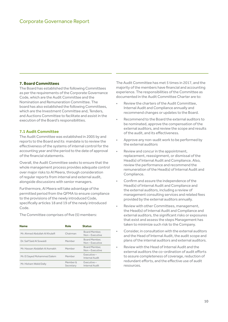#### **7. Board Committees**

The Board has established the following Committees as per the requirements of the Corporate Governance Code, which are the Audit Committee and the Nomination and Remuneration Committee. The board has also established the following Committees, which are the Investment Committee and, Tenders and Auctions Committee to facilitate and assist in the execution of the Board's responsibilities.

#### **7.1 Audit Committee**

The Audit Committee was established in 2005 by and reports to the Board and its mandate is to review the effectiveness of the systems of internal control for the accounting year and the period to the date of approval of the financial statements.

Overall, the Audit Committee seeks to ensure that the whole management process provides adequate control over major risks to Al Meera, through consideration of regular reports from internal and external audit, alongside discussions with senior managers.

Furthermore, Al Meera will take advantage of the permitted period from the QFMA to ensure compliance to the provisions of the newly introduced Code, specifically articles 18 and 19 of the newly introduced Code.

The Committee comprises of five (5) members:

| <b>Name</b>                    | Role                  | <b>Status</b>                  |
|--------------------------------|-----------------------|--------------------------------|
| Mr. Ahmed Abdullah Al Khulaifi | Chairman              | Board Member.<br>Non-Executive |
| Dr. Saif Said Al Sowaidi       | Member                | Board Member.<br>Non-Executive |
| Mr. Hassan Abdallah Al Asmakh  | Member                | Board Member.<br>Non-Executive |
| Mr. El Sayed Mohammed Salem    | Member                | Executive-<br>Internal Audit   |
| Mr. Hisham Walid Dally         | Member &<br>Secretary | Executive-<br>Internal Audit   |

The Audit Committee has met 5 times in 2017, and the majority of the members have financial and accounting experience. The responsibilities of the Committee as documented in the Audit Committee Charter are to:

- Review the charters of the Audit Committee, Internal Audit and Compliance annually and recommend changes or updates to the Board.
- Recommend to the Board the external auditors to be nominated, approve the compensation of the external auditors, and review the scope and results of the audit, and its effectiveness.
- Approve any non-audit work to be performed by the external auditors
- Review and concur in the appointment, replacement, reassignment, or dismissal of the Head(s) of Internal Audit and Compliance. Also, review the performance and recommend the remuneration of the Head(s) of Internal Audit and Compliance.
- Confirm and assure the independence of the Head(s) of Internal Audit and Compliance and the external auditors, including a review of management consulting services and related fees provided by the external auditors annually.
- Review with other Committees, management, the Head(s) of Internal Audit and Compliance and external auditors, the significant risks or exposures that exist and assess the steps Management has taken to minimize such risk to the Company.
- Consider, in consultation with the external auditors and the Head of Internal Audit, the audit scope and plans of the internal auditors and external auditors.
- Review with the Head of Internal Audit and the external auditors the co-ordination of audit efforts to assure completeness of coverage, reduction of redundant efforts, and the effective use of audit resources.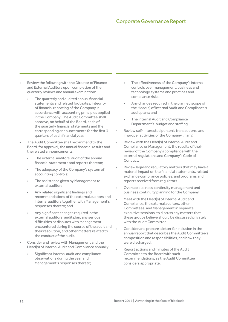- Review the following with the Director of Finance and External Auditors upon completion of the quarterly reviews and annual examination:
	- The quarterly and audited annual financial statements and related footnotes, integrity of financial reporting of the Company in accordance with accounting principles applied in the Company. The Audit Committee shall approve, on behalf of the Board, each of the quarterly financial statements and the corresponding announcements for the first 3 quarters of each financial year.
- The Audit Committee shall recommend to the Board, for approval, the annual financial results and the related announcements:
	- The external auditors' audit of the annual financial statements and reports thereon;
	- The adequacy of the Company's system of accounting controls;
	- The assistance given by Management to external auditors;
	- Any related significant findings and recommendations of the external auditors and internal auditors together with Management's responses thereto; and
	- Any significant changes required in the external auditors' audit plan, any serious difficulties or disputes with Management encountered during the course of the audit and their resolution, and other matters related to the conduct of the audit.
- Consider and review with Management and the Head(s) of Internal Audit and Compliance annually:
	- Significant internal audit and compliance observations during the year and Management's responses thereto;
- The effectiveness of the Company's internal controls over management, business and technology systems and practices and compliance risks;
- Any changes required in the planned scope of the Head(s) of Internal Audit and Compliance's audit plans; and
- The Internal Audit and Compliance Department's budget and staffing.
- Review self-interested person's transactions, and improper activities of the Company (if any).
- Review with the Head(s) of Internal Audit and Compliance or Management, the results of their review of the Company's compliance with the external regulations and Company's Code of Conduct.
- Review legal and regulatory matters that may have a material impact on the financial statements, related exchange compliance policies, and programs and reports received from regulators.
- Oversee business continuity management and business continuity planning for the Company.
- Meet with the Head(s) of Internal Audit and Compliance, the external auditors, other Committees, and Management in separate executive sessions, to discuss any matters that these groups believe should be discussed privately with the Audit Committee.
- Consider and prepare a letter for inclusion in the annual report that describes the Audit Committee's composition and responsibilities, and how they were discharged.
- Report actions and minutes of the Audit Committee to the Board with such recommendations, as the Audit Committee considers appropriate.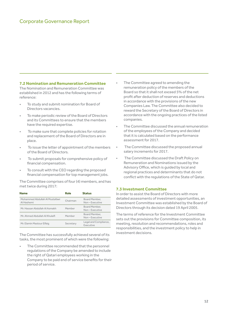#### **7.2 Nomination and Remuneration Committee**

The Nomination and Remuneration Committee was established in 2012 and has the following terms of reference:

- To study and submit nomination for Board of Directors vacancies.
- To make periodic review of the Board of Directors and its Committees to ensure that the members have the required expertise.
- To make sure that complete policies for rotation and replacement of the Board of Directors are in place.
- To issue the letter of appointment of the members of the Board of Directors.
- To submit proposals for comprehensive policy of financial compensation.
- To consult with the CEO regarding the proposed financial compensation for top management jobs.

The Committee comprises of four (4) members, and has met twice during 2017:

| <b>Name</b>                                  | Role      | <b>Status</b>                      |
|----------------------------------------------|-----------|------------------------------------|
| Mohammed Abdullah Al Mustafawi<br>Al Hashemi | Chairman  | Board Member.<br>Non-Executive     |
| Mr. Hassan Abdullah Al Asmakh                | Member    | Board Member.<br>Non-Executive     |
| Mr. Ahmed Abdullah Al Khulaifi               | Member    | Board Member.<br>Non-Executive     |
| Mr. Elamin Mastour Elfaig                    | Secretary | Legal and Compliance,<br>Executive |

The Committee has successfully achieved several of its tasks, the most prominent of which were the following:

The Committee recommended that the personnel regulations of the Company be amended to include the right of Qatari employees working in the Company to be paid end of service benefits for their period of service.

- The Committee agreed to amending the remuneration policy of the members of the Board so that it shall not exceed 5% of the net profit after deduction of reserves and deductions in accordance with the provisions of the new Companies Law. The Committee also decided to reward the Secretary of the Board of Directors in accordance with the ongoing practices of the listed companies.
- The Committee discussed the annual remuneration of the employees of the Company and decided that it is calculated based on the performance assessment for 2017.
- The Committee discussed the proposed annual salary increments for 2017.
- The Committee discussed the Draft Policy on Remuneration and Nominations issued by the Advisory Office, which is guided by local and regional practices and determinants that do not conflict with the regulations of the State of Qatar.

#### **7.3 Investment Committee**

In order to assist the Board of Directors with more detailed assessments of investment opportunities, an Investment Committee was established by the Board of Directors through its decision dated 19 April 2005.

The terms of reference for the Investment Committee sets out the provisions for Committee composition, its meeting, resolution and recommendations, roles and responsibilities, and the investment policy to help in investment decisions.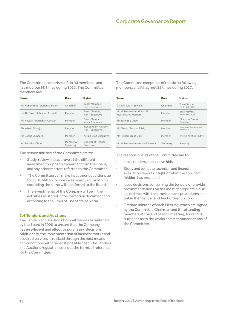The Committee comprises of six (6) members, and has met four (4) times during 2017. The Committee members are:

| Name                            | Role                  | <b>Status</b>                        |
|---------------------------------|-----------------------|--------------------------------------|
| Mr. Mohammed Ibrahim Al Sulaiti | Chairman              | Board Member,<br>Non-Executive       |
| He. Dr. Saleh Mohamed Al Nabit. | Member                | Board Member.<br>Non-Executive       |
| Mr. Hassan Abdullah Al Asmakh   | Member                | Board Member,<br>Non-Executive       |
| Abdulhadi Al Hajjiri            | Member                | Independent Advisor<br>Non-Executive |
| Mr. Cobus Lombard               | Member                | Acting CEO, Executive                |
| Mr. Teck Boo Chow               | Member &<br>Secretary | Director of Finance.<br>Executive    |

The responsibilities of the Committee are to:

- Study, review and approve all the different investment proposals forwarded from the Board, and any other matters referred to the Committee.
- The Committee can make investment decisions up to QR 10 Million for one investment, and anything exceeding the same will be referred to the Board.
- The investments of the Company will be in the activities as stated in the formation document and, according to the Laws of The State of Qatar.

#### **7.4 Tenders and Auctions**

The Tenders and Auctions Committee was established by the Board in 2006 to ensure that the Company has an efficient and effective purchasing decisions. Additionally, the implementation of business works and acquired services is realized through the best means and conditions with the least possible cost. The Tenders and Auctions regulation sets out the terms of reference for the Committee.

The Committee comprises of the six (6) following members, and it has met 25 times during 2017:

| Name                                             | Role      | <b>Status</b>                      |
|--------------------------------------------------|-----------|------------------------------------|
| Dr. Saif Said Al Sowaidi                         | Chairman  | Board Member.<br>Non-Executive     |
| Mr. Mohammed Abdullah Al<br>Mustafawi Al Hashemi | Member    | Board Member.<br>Non-Executive     |
| Mr. Teck Boo Chow                                | Member    | Director of Finance.<br>Executive  |
| Mr. Elamin Mastour Elfaig                        | Member    | Legal and Compliance,<br>Executive |
| Mr. Hisham Walid Dally                           | Member    | Internal Audit, Executive          |
| Mr. Mohammed Alaaeldin Mansour                   | Secretary | Secretary                          |

The responsibilities of the Committee are to:

- Issue tenders and receive bids.
- Study and evaluate technical and financial evaluation reports in light of what the applicant (bidder) has proposed.
- Issue decisions concerning the tenders or provide recommendations on the most appropriate bid, in accordance with the provision and procedures set out in the "Tender and Auction Regulation".
- Prepare minutes of each Meeting, which are signed by the Committee Chairman and the attending members at the end of each meeting, for record purposes as to the works and recommendations of the Committee.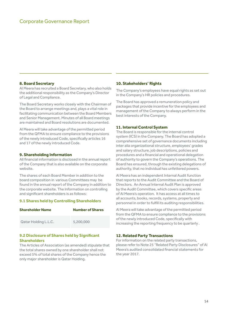#### **8. Board Secretary**

Al Meera has recruited a Board Secretary, who also holds the additional responsibility as the Company's Director of Legal and Compliance.

The Board Secretary works closely with the Chairman of the Board to arrange meetings and, plays a vital role in facilitating communication between the Board Members and Senior Management. Minutes of all Board meetings are maintained and Board resolutions are documented.

Al Meera will take advantage of the permitted period from the QFMA to ensure compliance to the provisions of the newly introduced Code, specifically articles 16 and 17 of the newly introduced Code.

#### **9. Shareholding Information**

All financial information is disclosed in the annual report of the Company that is also available on the corporate website.

The shares of each Board Member in addition to the board composition in various Committees may be found in the annual report of the Company in addition to the corporate website. The Information on controlling and significant shareholders is as follows:

#### **9.1 Shares held by Controlling Shareholders**

| <b>Shareholder Name</b> | <b>Number of Shares</b> |
|-------------------------|-------------------------|
| Qatar Holding L.L.C.    | 5,200,000               |

#### **9.2 Disclosure of Shares held by Significant Shareholders**

The Articles of Association (as amended) stipulate that the total shares owned by one shareholder shall not exceed 5% of total shares of the Company hence the only major shareholder is Qatar Holding.

#### **10. Stakeholders' Rights**

The Company's employees have equal rights as set out in the Company's HR policies and procedures.

The Board has approved a remuneration policy and packages that provide incentive for the employees and management of the Company to always perform in the best interests of the Company.

#### **11. Internal Control System**

The Board is responsible for the internal control system (ICS) in the Company. The Board has adopted a comprehensive set of governance documents including inter alia organizational structure, employees' grades and salary structure, job descriptions, policies and procedures and a financial and operational delegation of authority to govern the Company's operations. The Board has ensured, through the existing delegations of authority, that no individual has unfettered powers.

Al Meera has an independent Internal Audit function that reports to the Audit Committee and the Board of Directors. An Annual Internal Audit Plan is approved by the Audit Committee, which covers specific areas of Al Meera's operation. It has access at all times to all accounts, books, records, systems, property and personnel in order to fulfill its auditing responsibilities.

Al Meera will take advantage of the permitted period from the QFMA to ensure compliance to the provisions of the newly introduced Code, specifically with increasing the reporting frequency to be quarterly .

#### **12. Related Party Transactions**

For information on the related party transactions, please refer to Note 25 "Related Party Disclosures" of Al Meera's audited consolidated financial statements for the year 2017.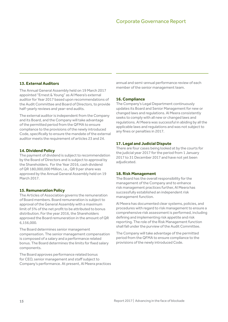#### **13. External Auditors**

The Annual General Assembly held on 19 March 2017 appointed "Ernest & Young" as Al Meera's external auditor for Year 2017 based upon recommendations of the Audit Committee and Board of Directors, to provide half-yearly reviews and year-end audits.

The external auditor is independent from the Company and its Board, and the Company will take advantage of the permitted period from the QFMA to ensure compliance to the provisions of the newly introduced Code, specifically to ensure the mandate of the external auditor meets the requirement of articles 23 and 24.

#### **14. Dividend Policy**

The payment of dividend is subject to recommendation by the Board of Directors and is subject to approval by the Shareholders. For the Year 2016, cash dividend of QR 180,000,000 Million, i.e., QR 9 per share was approved by the Annual General Assembly held on 19 March 2017.

#### **15. Remuneration Policy**

The Articles of Association governs the remuneration of Board members. Board remuneration is subject to approval of the General Assembly with a maximum limit of 5% of the net profit to be attributed to bonus distribution. For the year 2016, the Shareholders approved the Board remuneration in the amount of QR 6,156,000.

The Board determines senior management compensation. The senior management compensation is composed of a salary and a performance related bonus. The Board determines the limits for fixed salary components.

The Board approves performance related bonus for CEO, senior management and staff subject to Company's performance. At present, Al Meera practices

annual and semi-annual performance review of each member of the senior management team.

#### **16. Compliance**

The Company's Legal Department continuously updates its Board and Senior Management for new or changed laws and regulations. Al Meera consistently seeks to comply with all new or changed laws and regulations. Al Meera was successful in abiding by all the applicable laws and regulations and was not subject to any fines or penalties in 2017.

#### **17. Legal and Judicial Dispute**

There are four cases being looked at by the courts for the judicial year 2017 for the period from 1 January 2017 to 31 December 2017 and have not yet been adjudicated.

#### **18. Risk Management**

The Board has the overall responsibility for the management of the Company and to enhance risk management practices further, Al Meera has successfully established an independent risk management function.

Al Meera has documented clear systems, policies, and procedures with regard to risk management to ensure a comprehensive risk assessment is performed, including defining and implementing risk appetite and risk reporting. The role of the Risk Management function shall fall under the purview of the Audit Committee.

The Company will take advantage of the permitted period from the QFMA to ensure compliance to the provisions of the newly introduced Code.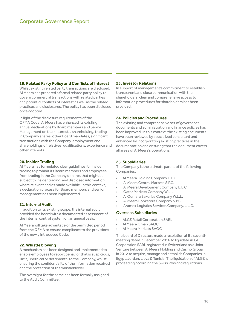#### **19. Related Party Policy and Conflicts of Interest**

Whilst existing related party transactions are disclosed, Al Meera has prepared a formal related party policy to govern commercial transactions with related parties and potential conflicts of interest as well as the related practices and disclosures. The policy has been disclosed once adopted.

In light of the disclosure requirements of the QFMA Code, Al Meera has enhanced its existing annual declarations by Board members and Senior Management on their interests, shareholding, trading in Company shares, other Board mandates, significant transactions with the Company, employment and shareholdings of relatives, qualifications, experience and other interests.

#### **20. Insider Trading**

Al Meera has formulated clear guidelines for insider trading to prohibit its Board members and employees from trading in the Company's shares that might be subject to insider trading, and disclosed information where relevant and as made available. In this context, a declaration process for Board members and senior management has been implemented.

#### **21. Internal Audit**

In addition to its existing scope, the internal audit provided the board with a documented assessment of the internal control system on an annual basis.

Al Meera will take advantage of the permitted period from the QFMA to ensure compliance to the provisions of the newly introduced Code.

#### **22. Whistle blowing**

A mechanism has been designed and implemented to enable employees to report behavior that is suspicious, illicit, unethical or detrimental to the Company, whilst ensuring the confidentiality of the information received and the protection of the whistleblower.

The oversight for the same has been formally assigned to the Audit Committee.

#### **23. Investor Relations**

In support of management's commitment to establish transparent and close communication with the shareholders, clear and comprehensive access to information procedures for shareholders has been provided.

#### **24. Policies and Procedures**

The existing and comprehensive set of governance documents and administration and finance policies has been improved. In this context, the existing documents have been reviewed by specialized consultant and enhanced by incorporating existing practices in the documentation and ensuring that the document covers all areas of Al Meera's operations.

#### **25. Subsidiaries**

The Company is the ultimate parent of the following Companies:

- Al Meera Holding Company L.L.C.
- Al Meera Central Markets S.P.C.
- Al Meera Development Company L.L.C.
- Qatar Markets Company W.L.L.
- Al Oumara Bakeries Company W.L.L.
- Al Meera Bookstore Company S.P.C.
	- Aramex Logistics Services Company. L.L.C.

#### Overseas Subsidiaries

- ALGE Retail Corporation SARL
- Al Meera Oman SAOC
- Al Meera Markets SAOC

The board of Directors made a resolution at its seventh meeting dated 7 December 2016 to liquidate ALGE Corporation SARL registered in Switzerland as a Joint Venture between Al Meera Holding and Casino Group in 2012 to acquire, manage and establish Companies in Egypt, Jordan, Libya & Tunisia. The liquidation of ALGE is proceeding according the Swiss laws and regulations.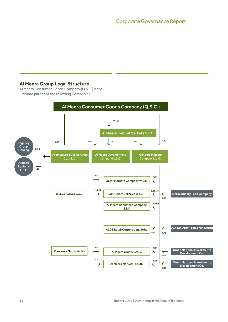## **Al Meera Group Legal Structure**

Al Meera Consumer Goods Company (Q.S.C.) is the ultimate parent of the following Companies:

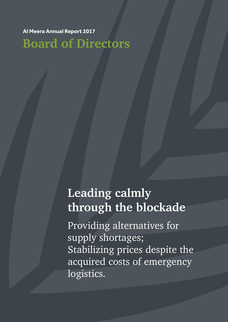**Al Meera Annual Report 2017**

**Board of Directors**

# **Leading calmly through the blockade**

Providing alternatives for supply shortages; Stabilizing prices despite the acquired costs of emergency logistics.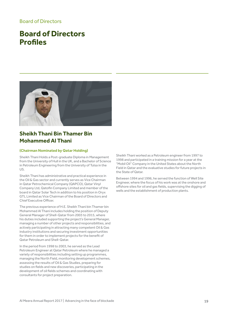### Board of Directors

## **Board of Directors Profiles**



## **Sheikh Thani Bin Thamer Bin Mohammed Al Thani**

#### **(Chairman Nominated by Qatar Holding)**

Sheikh Thani Holds a Post-graduate Diploma in Management from the University of Hull in the UK, and a Bachelor of Science in Petroleum Engineering from the University of Tulsa in the US.

Sheikh Thani has administrative and practical experience in the Oil & Gas sector and currently serves as Vice Chairman in Qatar Petrochemical Company (QAPCO), Qatar Vinyl Company Ltd, Qatofin Company Limited and member of the board in Qatar Solar Tech in addition to his position in Oryx GTL Limited as Vice Chairman of the Board of Directors and Chief Executive Officer.

The previous experience of H.E. Sheikh Thani bin Thamer bin Mohammed Al Thani includes holding the position of Deputy General Manager of Shell-Qatar from 2003 to 2015, where his duties included supporting the project's General Manager, managing a number of other projects and responsibilities, and actively participating in attracting many competent Oil & Gas industry institutions and securing investment opportunities for them in order to implement projects for the benefit of Qatar Petroleum and Shell-Qatar.

In the period from 1998 to 2003, he served as the Lead Petroleum Engineer at Qatar Petroleum where he managed a variety of responsibilities including setting up programmes, managing the North Field, monitoring development schemes, assessing the results of Oil & Gas Studies, preparing for studies on fields and new discoveries, participating in the development of oil fields schemes and coordinating with consultants for project preparation.

Sheikh Thani worked as a Petroleum engineer from 1997 to 1998 and participated in a training mission for a year at the "Mobil Oil" Company in the United States about the North Field in Qatar and the evaluative studies for future projects in the State of Qatar.

Between 1994 and 1996, he served the function of Well Site Engineer, where the focus of his work was at the onshore and offshore sites for oil and gas fields, supervising the digging of wells and the establishment of production plants.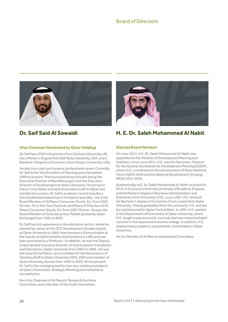

## **Dr. Saif Said Al Sowaidi**

#### **(Vice Chairman Nominated by Qatar Holding)**

Dr. Saif has a PhD in Economics from Durham University, UK, has a Master's Degree from Ball State University, USA. and a Bachelor's Degree in Economics from Oregon University, USA.

He also has a vast and dynamic professional career. Currently, Dr. Saif is the Vice President of Planning since November 2008 to present. Previous experience includes being the Executive Director of Rawafed project and the Executive Director of Serdal project at Qatar University. He served in many Committees and task force teams both in Qatar and outside the country. Dr. Saif's academic record includes a list of published researches in his field of specialty. He is the Board Member of Al Meera Consumer Goods, Co. from 2005 till now. He is the Vice Chairman and Board of Directors of Al Meera Consumer Goods, Co. from 2007 till now. He was the Board Member of Doha Securities Market (presently Qatar Exchange) from 1995 to 2002.

Dr. Saif has rich experience in the education sector; where he started his career at the GCC Development Studies Centre at Qatar University in 1983, then became a Demonstrator at the Faculty of Administration & Economics in 1985 and was later promoted as a Professor. In addition, he was the Deputy Chairman and Executive Director of Oracle System Installation and Operations, Qatar University from 2003 to 2006. He was the head of the Follow-up Committee for the Nomination of Teaching Staff at Qatar University 2003-2005 and member of Qatar University Senate from 1995 to 2003. At the present Dr. Saif is the managing lead for two very ambitious projects at Qatar Universities: Strategic Planning and Institutional Accreditation.

He is the Chairman of Al Meera's Tenders & Auctions Committee, and a Member of the Audit Committee.



## **H. E. Dr. Saleh Mohammed Al Nabit**

#### **(Elected Board Member)**

On June 2013, H.E. Dr. Saleh Mohammed Al-Nabit was appointed as the Minister of Development Planning and Statistics. Since June 2011, H.E. was the Secretary-General for the General Secretariat for Development Planning (GSDP), where H.E. contributed to the development of Qatar National Vision (QNV) 2030 and the National Development Strategy (NDS) 2011-2016.

Academically, H.E. Dr. Saleh Mohammed Al-Nabit received his Ph.D. in Economics from the University of Bradford, England, and his Master's degree in Business Administration and Economics from University of St. Louis, USA. H.E. received his Bachelor's degree in Economics (Cum Laude) from Qatar University. Having graduated from the university, H.E. worked for a brief period for Qatar Central Bank. In 1993, H.E. worked in the Department of Economics at Qatar University, where H.E. taught many economic curricula and was named as board member in the department and the college. In addition, H.E. chaired many academic and scientific Committees in Qatar University.

He is a Member of Al Meera's Investment Committee.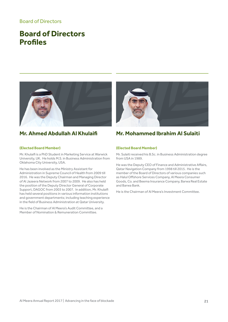### Board of Directors

## **Board of Directors Profiles**



## **Mr. Ahmed Abdullah Al Khulaifi**

#### **(Elected Board Member)**

Mr. Khulaifi is a PhD Student in Marketing Service at Warwick University, UK. He holds M.S. in Business Administration from Oklahoma City University, USA.

He has been involved as the Ministry Assistant for Administration in Supreme Council of Health from 2009 till 2016. He was the Deputy Chairman and Managing Director of Al Jazeera Network from 2007 to 2009. He also has held the position of the Deputy Director General of Corporate Support, DAGOC from 2003 to 2007. In addition, Mr. Khulaifi has held several positions in various information institutions and government departments; including teaching experience in the field of Business Administration at Qatar University.

He is the Chairman of Al Meera's Audit Committee, and a Member of Nomination & Remuneration Committee.



## **Mr. Mohammed Ibrahim Al Sulaiti**

#### **(Elected Board Member)**

Mr. Sulaiti received his B.Sc. in Business Administration degree from USA in 1989.

He was the Deputy CEO of Finance and Administrative Affairs, Qatar Navigation Company from 1998 till 2015. He is the member of the Board of Directors of various companies such as Halul Offshore Services Company, Al Meera Consumer Goods, Co. and Beema Insurance Company, Barwa Real Estate and Barwa Bank.

He is the Chairman of Al Meera's Investment Committee.